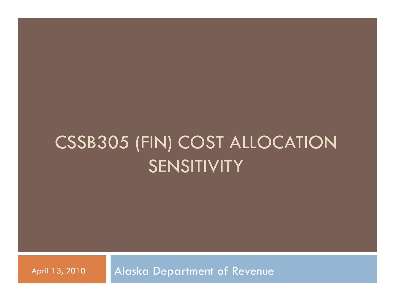# CSSB305 (FIN) COST ALLOCATION SENSITIVITY

April 13, 2010 | Alaska Department of Revenue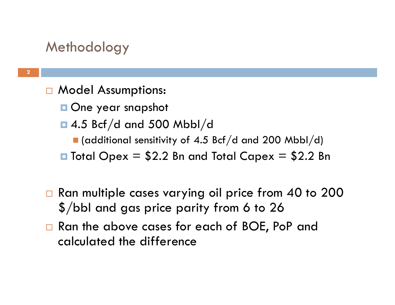#### Methodology

- **n** Model Assumptions:
	- **One year snapshot**
	- $\blacksquare$  4.5 Bcf/d and 500 Mbbl/d
		- $\blacksquare$  (additional sensitivity of 4.5 Bcf/d and 200 Mbbl/d)
	- $\blacksquare$  Total Opex = \$2.2 Bn and Total Capex = \$2.2 Bn
- $\Box$  Ran multiple cases varying oil price from 40 to 200  $\Box$ \$/bbl and gas price parity from 6 to 26
- □ Ran the above cases for each of BOE, PoP and calculated the difference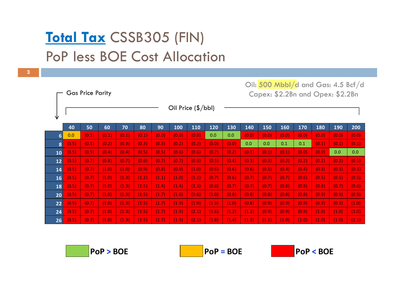# **Total Tax** CSSB305 (FIN) PoP less BOE Cost Allocation

**3**

|                 |       | <b>Gas Price Parity</b> |       |       |       |       | Capex: \$2.2Bn and Opex: \$2.2Bn |       |       |       |       |       |       |       |       |       |       |
|-----------------|-------|-------------------------|-------|-------|-------|-------|----------------------------------|-------|-------|-------|-------|-------|-------|-------|-------|-------|-------|
| ₩               |       |                         |       |       |       |       | Oil Price $(\frac{5}{bb}I)$      |       |       |       |       |       |       |       |       |       |       |
|                 | 40    | 50                      | 60    | 70    | 80    | 90    | 100                              | 110   | 120   | 130   | 140   | 150   | 160   | 170   | 180   | 190   | 200   |
| 6               | 0.0   | (0.1)                   | (0.1) | (0.1) | (0.1) | (0.0) | (0.0)                            | (0.0) | 0.0   | 0.0   | (0.0) | (0.0) | (0.0) | (0.0) | (0.0) | (0.0) | (0.0) |
| 8               | (0.5) | (0.1)                   | (0.2) | (0.3) | (0.3) | (0.3) | (0.2)                            | (0.2) | (0.0) | (0.0) | 0.0   | 0.0   | 0.1   | 0.1   | (0.1) | (0.1) | (0.1) |
| 10 <sup>°</sup> | (0.5) | (0.5)                   | (0.4) | (0.4) | (0.5) | (0.5) | (0.6)                            | (0.6) | (0.2) | (0.2) | (0.1) | (0.1) | (0.1) | (0.0) | (0.0) | 0.0   | 0.0   |
| 12              | (0.5) | (0.7)                   | (0.8) | (0.7) | (0.6) | (0.7) | (0.7)                            | (0.8) | (0.5) | (0.4) | (0.3) | (0.3) | (0.2) | (0.2) | (0.2) | (0.2) | (0.1) |
| 14              | (0.5) | (0.7)                   | (1.0) | (1.0) | (0.9) | (0.8) | (0.9)                            | (1.0) | (0.6) | (0.6) | (0.6) | (0.5) | (0.4) | (0.4) | (0.3) | (0.3) | (0.3) |
| 16              | (0.5) | (0.7)                   | (1.0) | (1.3) | (1.2) | (1.1) | (1.0)                            | (1.1) | (0.7) | (0.6) | (0.7) | (0.7) | (0.7) | (0.6) | (0.5) | (0.5) | (0.5) |
| 18              | (0.5) | (0.7)                   | (1.0) | (1.3) | (1.5) | (1.4) | (1.4)                            | (1.3) | (0.8) | (0.7) | (0.7) | (0.7) | (0.8) | (0.8) | (0.8) | (0.7) | (0.6) |
| 20 <sub>2</sub> | (0.5) | (0.7)                   | (1.0) | (1.3) | (1.5) | (1.7) | (1.6)                            | (1.6) | (1.0) | (0.8) | (0.8) | (0.8) | (0.8) | (0.8) | (0.9) | (0.9) | (0.9) |
| 22              | (0.5) | (0.7)                   | (1.0) | (1.3) | (1.5) | (1.7) | (1.9)                            | (1.9) | (1.3) | (1.0) | (0.8) | (0.9) | (0.9) | (0.9) | (0.9) | (0.9) | (1.0) |
| 24              | (0.5) | (0.7)                   | (1.0) | (1.3) | (1.5) | (1.7) | (1.9)                            | (2.1) | (1.6) | (1.2) | (1.1) | (0.9) | (0.9) | (0.9) | (1.0) | (1.0) | (1.0) |
| 26              | (0.5) | (0.7)                   | (1.0) | (1.3) | (1.5) | (1.7) | (1.9)                            | (2.1) | (1.8) | (1.4) | (1.3) | (1.1) | (1.0) | (1.0) | (1.0) | (1.0) | (1.1) |

**PoP**

**> BOE 0.0 PoP <sup>=</sup> BOE PoP < BOE**

Oil: 500 Mbbl/d and Gas: 4.5 Bcf/d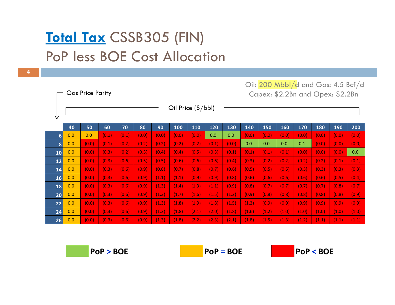# **Total Tax** CSSB305 (FIN) PoP less BOE Cost Allocation

**4**

|    |     | <b>Gas Price Parity</b> |       |       |       | Capex: \$2.2Bn and Opex: \$2.2Bn |                             |       |       |       |       |       |       |       |       |       |       |
|----|-----|-------------------------|-------|-------|-------|----------------------------------|-----------------------------|-------|-------|-------|-------|-------|-------|-------|-------|-------|-------|
| ₩  |     |                         |       |       |       |                                  | Oil Price $(\frac{5}{bb}I)$ |       |       |       |       |       |       |       |       |       |       |
|    | 40  | 50                      | 60    | 70    | 80    | 90                               | 100                         | 110   | 120   | 130   | 140   | 150   | 160   | 170   | 180   | 190   | 200   |
| 6  | 0.0 | 0.0                     | (0.1) | (0.1) | (0.0) | (0.0)                            | (0.0)                       | (0.0) | 0.0   | 0.0   | (0.0) | (0.0) | (0.0) | (0.0) | (0.0) | (0.0) | (0.0) |
| 8  | 0.0 | (0.0)                   | (0.1) | (0.2) | (0.2) | (0.2)                            | (0.2)                       | (0.2) | (0.1) | (0.0) | 0.0   | 0.0   | 0.0   | 0.1   | (0.0) | (0.0) | (0.0) |
| 10 | 0.0 | (0.0)                   | (0.3) | (0.2) | (0.3) | (0.4)                            | (0.4)                       | (0.5) | (0.3) | (0.1) | (0.1) | (0.1) | (0.1) | (0.0) | (0.0) | (0.0) | 0.0   |
| 12 | 0.0 | (0.0)                   | (0.3) | (0.6) | (0.5) | (0.5)                            | (0.6)                       | (0.6) | (0.6) | (0.4) | (0.3) | (0.2) | (0.2) | (0.2) | (0.2) | (0.1) | (0.1) |
| 14 | 0.0 | (0.0)                   | (0.3) | (0.6) | (0.9) | (0.8)                            | (0.7)                       | (0.8) | (0.7) | (0.6) | (0.5) | (0.5) | (0.5) | (0.3) | (0.3) | (0.3) | (0.3) |
| 16 | 0.0 | (0.0)                   | (0.3) | (0.6) | (0.9) | (1.1)                            | (1.1)                       | (0.9) | (0.9) | (0.8) | (0.6) | (0.6) | (0.6) | (0.6) | (0.6) | (0.5) | (0.4) |
| 18 | 0.0 | (0.0)                   | (0.3) | (0.6) | (0.9) | (1.3)                            | (1.4)                       | (1.3) | (1.1) | (0.9) | (0.8) | (0.7) | (0.7) | (0.7) | (0.7) | (0.8) | (0.7) |
| 20 | 0.0 | (0.0)                   | (0.3) | (0.6) | (0.9) | (1.3)                            | (1.7)                       | (1.6) | (1.5) | (1.2) | (0.9) | (0.8) | (0.8) | (0.8) | (0.8) | (0.8) | (0.9) |
| 22 | 0.0 | (0.0)                   | (0.3) | (0.6) | (0.9) | (1.3)                            | (1.8)                       | (1.9) | (1.8) | (1.5) | (1.2) | (0.9) | (0.9) | (0.9) | (0.9) | (0.9) | (0.9) |
| 24 | 0.0 | (0.0)                   | (0.3) | (0.6) | (0.9) | (1.3)                            | (1.8)                       | (2.1) | (2.0) | (1.8) | (1.6) | (1.2) | (1.0) | (1.0) | (1.0) | (1.0) | (1.0) |
| 26 | 0.0 | (0.0)                   | (0.3) | (0.6) | (0.9) | (1.3)                            | (1.8)                       | (2.2) | (2.3) | (2.1) | (1.8) | (1.5) | (1.3) | (1.2) | (1.1) | (1.1) | (1.1) |

**PoP**

Oil: 200 Mbbl/d and Gas: 4.5 Bcf/d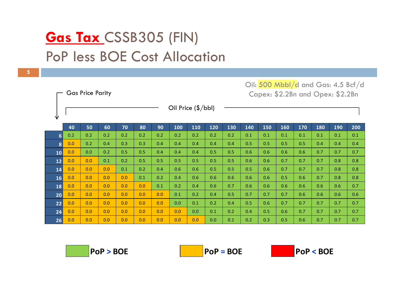# **Gas Tax** CSSB305 (FIN) PoP less BOE Cost Allocation

**5**

|                  |     | <b>Gas Price Parity</b> |     |     |     |     | Capex: \$2.2Bn and Opex: \$2.2Bn |     |     |     |     |     |     |     |     |     |     |
|------------------|-----|-------------------------|-----|-----|-----|-----|----------------------------------|-----|-----|-----|-----|-----|-----|-----|-----|-----|-----|
| ₩                |     |                         |     |     |     |     | Oil Price $(\frac{5}{bb}I)$      |     |     |     |     |     |     |     |     |     |     |
|                  | 40  | 50                      | 60  | 70  | 80  | 90  | 100                              | 110 | 120 | 130 | 140 | 150 | 160 | 170 | 180 | 190 | 200 |
| $6 \overline{6}$ | 0.2 | 0.2                     | 0.2 | 0.2 | 0.2 | 0.2 | 0.2                              | 0.2 | 0.2 | 0.2 | 0.1 | 0.1 | 0.1 | 0.1 | 0.1 | 0.1 | 0.1 |
| 8                | 0.0 | 0.2                     | 0.4 | 0.3 | 0.3 | 0.4 | 0.4                              | 0.4 | 0.4 | 0.4 | 0.5 | 0.5 | 0.5 | 0.5 | 0.4 | 0.4 | 0.4 |
| 10               | 0.0 | 0.0                     | 0.2 | 0.5 | 0.5 | 0.4 | 0.4                              | 0.4 | 0.5 | 0.5 | 0.6 | 0.6 | 0.6 | 0.6 | 0.7 | 0.7 | 0.7 |
| $12$             | 0.0 | 0.0                     | 0.1 | 0.2 | 0.5 | 0.5 | 0.5                              | 0.5 | 0.5 | 0.5 | 0.6 | 0.6 | 0.7 | 0.7 | 0.7 | 0.8 | 0.8 |
| 14               | 0.0 | 0.0                     | 0.0 | 0.1 | 0.2 | 0.4 | 0.6                              | 0.6 | 0.5 | 0.5 | 0.5 | 0.6 | 0.7 | 0.7 | 0.7 | 0.8 | 0.8 |
| 16               | 0.0 | 0.0                     | 0.0 | 0.0 | 0.1 | 0.2 | 0.4                              | 0.6 | 0.6 | 0.6 | 0.6 | 0.6 | 0.5 | 0.6 | 0.7 | 0.8 | 0.8 |
| 18               | 0.0 | 0.0                     | 0.0 | 0.0 | 0.0 | 0.1 | 0.2                              | 0.4 | 0.6 | 0.7 | 0.6 | 0.6 | 0.6 | 0.6 | 0.6 | 0.6 | 0.7 |
| 20               | 0.0 | 0.0                     | 0.0 | 0.0 | 0.0 | 0.0 | 0.1                              | 0.2 | 0.4 | 0.5 | 0.7 | 0.7 | 0.7 | 0.6 | 0.6 | 0.6 | 0.6 |
| 22               | 0.0 | 0.0                     | 0.0 | 0.0 | 0.0 | 0.0 | 0.0                              | 0.1 | 0.2 | 0.4 | 0.5 | 0.6 | 0.7 | 0.7 | 0.7 | 0.7 | 0.7 |
| 24               | 0.0 | 0.0                     | 0.0 | 0.0 | 0.0 | 0.0 | 0.0                              | 0.0 | 0.1 | 0.2 | 0.4 | 0.5 | 0.6 | 0.7 | 0.7 | 0.7 | 0.7 |
| 26               | 0.0 | 0.0                     | 0.0 | 0.0 | 0.0 | 0.0 | 0.0                              | 0.0 | 0.0 | 0.1 | 0.2 | 0.3 | 0.5 | 0.6 | 0.7 | 0.7 | 0.7 |

**PoP**

**> BOE 0.0 PoP <sup>=</sup> BOE PoP < BOE**

Oil: 500 Mbbl/d and Gas: 4.5 Bcf/d